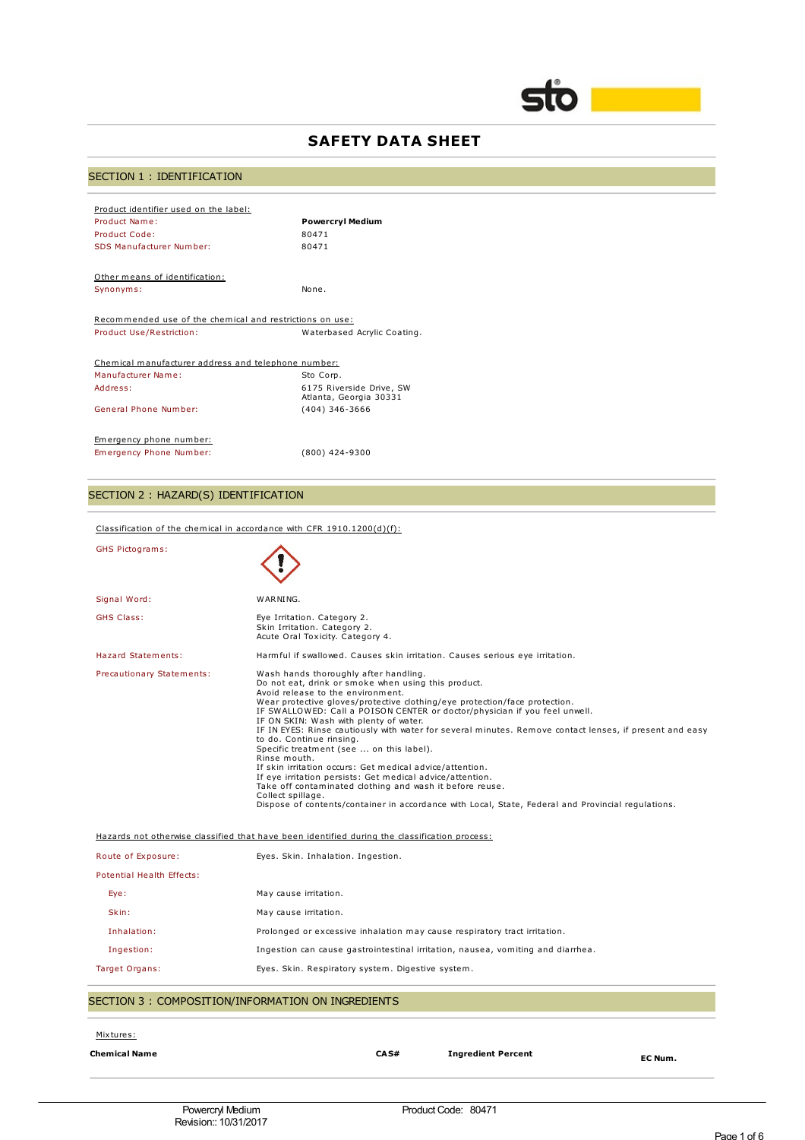

# **SAFETY DATA SHEET**

# SECTION 1 : IDENTIFICATION

| Product identifier used on the label:<br>Product Name:<br>Product Code:<br>SDS Manufacturer Number:                 | <b>Powercryl Medium</b><br>80471<br>80471                                           |  |  |
|---------------------------------------------------------------------------------------------------------------------|-------------------------------------------------------------------------------------|--|--|
| Other means of identification:<br>Synonyms:                                                                         | None.                                                                               |  |  |
| Recommended use of the chemical and restrictions on use:<br>Product Use/Restriction:<br>Waterbased Acrylic Coating. |                                                                                     |  |  |
| Chemical manufacturer address and telephone number:<br>Manufacturer Name:<br>Address:<br>General Phone Number:      | Sto Corp.<br>6175 Riverside Drive, SW<br>Atlanta, Georgia 30331<br>$(404)$ 346-3666 |  |  |
| Emergency phone number:<br>Emergency Phone Number:                                                                  | (800) 424-9300                                                                      |  |  |

# SECTION 2 : HAZARD(S) IDENTIFICATION

| <b>Chemical Name</b>                                   | CA <sub>S</sub> #<br><b>Ingredient Percent</b><br>EC Num.                                                                                                                                                                                                                                                                                                                                                                                                                                                       |  |  |
|--------------------------------------------------------|-----------------------------------------------------------------------------------------------------------------------------------------------------------------------------------------------------------------------------------------------------------------------------------------------------------------------------------------------------------------------------------------------------------------------------------------------------------------------------------------------------------------|--|--|
| Mixtures:                                              |                                                                                                                                                                                                                                                                                                                                                                                                                                                                                                                 |  |  |
| SECTION 3 : COMPOSITION/INFORMATION ON INGREDIENTS     |                                                                                                                                                                                                                                                                                                                                                                                                                                                                                                                 |  |  |
| Target Organs:                                         | Eyes. Skin. Respiratory system. Digestive system.                                                                                                                                                                                                                                                                                                                                                                                                                                                               |  |  |
| Ingestion:                                             | Ingestion can cause gastrointestinal irritation, nausea, vomiting and diarrhea.                                                                                                                                                                                                                                                                                                                                                                                                                                 |  |  |
| Inhalation:                                            | Prolonged or excessive inhalation may cause respiratory tract irritation.                                                                                                                                                                                                                                                                                                                                                                                                                                       |  |  |
| Skin:                                                  | May cause irritation.                                                                                                                                                                                                                                                                                                                                                                                                                                                                                           |  |  |
| Eye:                                                   | May cause irritation.                                                                                                                                                                                                                                                                                                                                                                                                                                                                                           |  |  |
| Potential Health Effects:                              |                                                                                                                                                                                                                                                                                                                                                                                                                                                                                                                 |  |  |
| Route of Exposure:                                     | Eyes. Skin. Inhalation. Ingestion.                                                                                                                                                                                                                                                                                                                                                                                                                                                                              |  |  |
|                                                        | Hazards not otherwise classified that have been identified during the classification process:                                                                                                                                                                                                                                                                                                                                                                                                                   |  |  |
|                                                        | IF IN EYES: Rinse cautiously with water for several minutes. Remove contact lenses, if present and easy<br>to do. Continue rinsing.<br>Specific treatment (see  on this label).<br>Rinse mouth.<br>If skin irritation occurs: Get medical advice/attention.<br>If eye irritation persists: Get medical advice/attention.<br>Take off contaminated clothing and wash it before reuse.<br>Collect spillage.<br>Dispose of contents/container in accordance with Local, State, Federal and Provincial regulations. |  |  |
|                                                        | Do not eat, drink or smoke when using this product.<br>Avoid release to the environment.<br>Wear protective gloves/protective clothing/eye protection/face protection.<br>IF SWALLOWED: Call a POISON CENTER or doctor/physician if you feel unwell.<br>IF ON SKIN: Wash with plenty of water.                                                                                                                                                                                                                  |  |  |
| <b>Hazard Statements:</b><br>Precautionary Statements: | Harmful if swallowed. Causes skin irritation. Causes serious eye irritation.<br>Wash hands thoroughly after handling.                                                                                                                                                                                                                                                                                                                                                                                           |  |  |
| <b>GHS Class:</b>                                      | Eye Irritation. Category 2.<br>Skin Irritation. Category 2.<br>Acute Oral Toxicity. Category 4.                                                                                                                                                                                                                                                                                                                                                                                                                 |  |  |
| Signal Word:                                           | WARNING.                                                                                                                                                                                                                                                                                                                                                                                                                                                                                                        |  |  |
| <b>GHS Pictograms:</b>                                 |                                                                                                                                                                                                                                                                                                                                                                                                                                                                                                                 |  |  |
|                                                        | Classification of the chemical in accordance with CFR $1910.1200(d)(f)$ :                                                                                                                                                                                                                                                                                                                                                                                                                                       |  |  |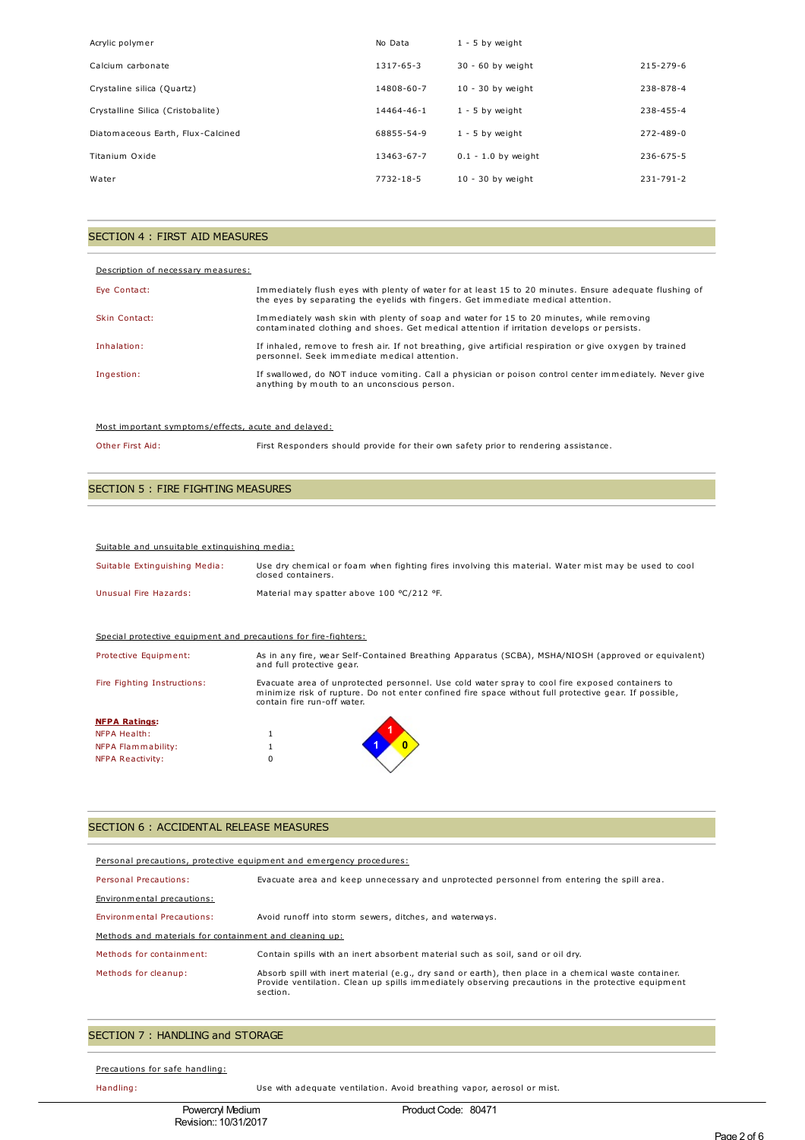| Acrylic polymer                   | No Data         | $1 - 5$ by weight     |                 |
|-----------------------------------|-----------------|-----------------------|-----------------|
| Calcium carbonate                 | $1317 - 65 - 3$ | 30 - 60 by weight     | $215 - 279 - 6$ |
| Crystaline silica (Quartz)        | 14808-60-7      | $10 - 30$ by weight   | 238-878-4       |
| Crystalline Silica (Cristobalite) | 14464-46-1      | $1 - 5$ by weight     | 238-455-4       |
| Diatomaceous Earth, Flux-Calcined | 68855-54-9      | $1 - 5$ by weight     | $272 - 489 - 0$ |
| Titanium Oxide                    | 13463-67-7      | $0.1 - 1.0$ by weight | $236 - 675 - 5$ |
| Water                             | 7732-18-5       | $10 - 30$ by weight   | $231 - 791 - 2$ |

## SECTION 4 : FIRST AID MEASURES

| Description of necessary measures: |                                                                                                                                                                                             |
|------------------------------------|---------------------------------------------------------------------------------------------------------------------------------------------------------------------------------------------|
| Eye Contact:                       | Immediately flush eyes with plenty of water for at least 15 to 20 minutes. Ensure adequate flushing of<br>the eyes by separating the eyelids with fingers. Get immediate medical attention. |
| Skin Contact:                      | Immediately wash skin with plenty of soap and water for 15 to 20 minutes, while removing<br>contaminated clothing and shoes. Get medical attention if irritation develops or persists.      |
| Inhalation:                        | If inhaled, remove to fresh air. If not breathing, give artificial respiration or give oxygen by trained<br>personnel. Seek immediate medical attention.                                    |
| Ingestion:                         | If swallowed, do NOT induce vomiting. Call a physician or poison control center immediately. Never give<br>anything by mouth to an unconscious person.                                      |

## Most important symptoms/effects, acute and delayed:

Other First Aid: First Responders should provide for their own safety prior to rendering assistance.

## SECTION 5 : FIRE FIGHTING MEASURES

Suitable and unsuitable extinguishing media:

| Suitable Extinguishing Media:                                   | Use dry chemical or foam when fighting fires involving this material. Water mist may be used to cool<br>closed containers.                                                                                                              |
|-----------------------------------------------------------------|-----------------------------------------------------------------------------------------------------------------------------------------------------------------------------------------------------------------------------------------|
| Unusual Fire Hazards:                                           | Material may spatter above 100 °C/212 °F.                                                                                                                                                                                               |
|                                                                 |                                                                                                                                                                                                                                         |
| Special protective equipment and precautions for fire-fighters: |                                                                                                                                                                                                                                         |
| Protective Equipment:                                           | As in any fire, wear Self-Contained Breathing Apparatus (SCBA), MSHA/NIOSH (approved or equivalent)<br>and full protective gear.                                                                                                        |
| Fire Fighting Instructions:                                     | Evacuate area of unprotected personnel. Use cold water spray to cool fire exposed containers to<br>minimize risk of rupture. Do not enter confined fire space without full protective gear. If possible,<br>contain fire run-off water. |
| <b>NFPA Ratings:</b>                                            |                                                                                                                                                                                                                                         |
| NFPA Health:                                                    |                                                                                                                                                                                                                                         |
| NFPA Flammability:                                              |                                                                                                                                                                                                                                         |
| NFPA Reactivity:                                                | 0                                                                                                                                                                                                                                       |

## SECTION 6 : ACCIDENTAL RELEASE MEASURES

| Personal precautions, protective equipment and emergency procedures: |                                                                                                                                                                                                                         |  |  |
|----------------------------------------------------------------------|-------------------------------------------------------------------------------------------------------------------------------------------------------------------------------------------------------------------------|--|--|
| Personal Precautions:                                                | Evacuate area and keep unnecessary and unprotected personnel from entering the spill area.                                                                                                                              |  |  |
| Environmental precautions:                                           |                                                                                                                                                                                                                         |  |  |
| <b>Environmental Precautions:</b>                                    | Avoid runoff into storm sewers, ditches, and waterways.                                                                                                                                                                 |  |  |
| Methods and materials for containment and cleaning up:               |                                                                                                                                                                                                                         |  |  |
| Methods for containment:                                             | Contain spills with an inert absorbent material such as soil, sand or oil drv.                                                                                                                                          |  |  |
| Methods for cleanup:                                                 | Absorb spill with inert material (e.g., dry sand or earth), then place in a chemical waste container.<br>Provide ventilation. Clean up spills immediately observing precautions in the protective equipment<br>section. |  |  |

## SECTION 7 : HANDLING and STORAGE

Precautions for safe handling:

Handling: Use with adequate ventilation. Avoid breathing vapor, aerosol or mist.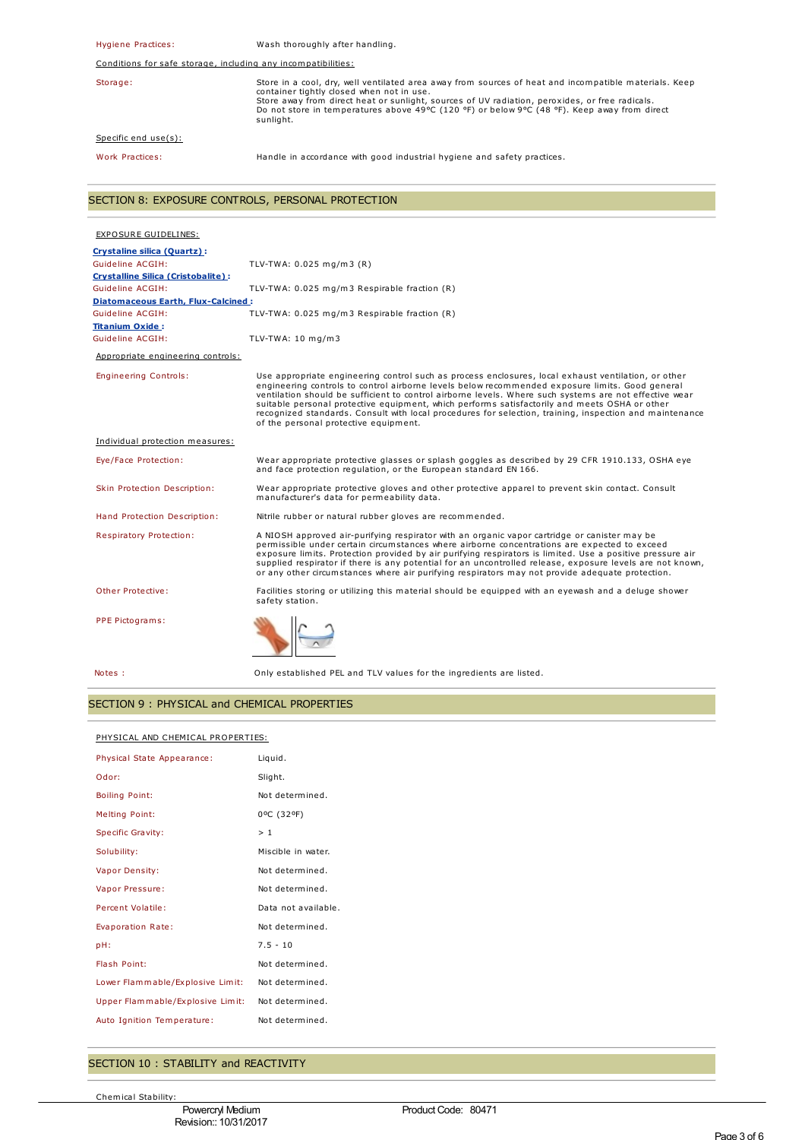Hygiene Practices: Wash thoroughly after handling. Conditions for safe storage, including any incompatibilities: Storage: Store in a cool, dry, well ventilated area away from sources of heat and incompatible materials. Keep<br>container tightly closed when not in use.<br>Store away from direct heat or sunlight, sources of UV radiation, per sunlight. Specific end use(s): Work Practices: Handle in accordance with good industrial hygiene and safety practices.

## SECTION 8: EXPOSURE CONTROLS, PERSONAL PROTECTION

| EXPOSURE GUIDELINES:                      |                                                                                                                                                                                                                                                                                                                                                                                                                                                                                                                                                                       |
|-------------------------------------------|-----------------------------------------------------------------------------------------------------------------------------------------------------------------------------------------------------------------------------------------------------------------------------------------------------------------------------------------------------------------------------------------------------------------------------------------------------------------------------------------------------------------------------------------------------------------------|
| <b>Crystaline silica (Quartz):</b>        |                                                                                                                                                                                                                                                                                                                                                                                                                                                                                                                                                                       |
| Guideline ACGIH:                          | TLV-TWA: $0.025$ mg/m3 (R)                                                                                                                                                                                                                                                                                                                                                                                                                                                                                                                                            |
| <b>Crystalline Silica (Cristobalite):</b> |                                                                                                                                                                                                                                                                                                                                                                                                                                                                                                                                                                       |
| Guideline ACGIH:                          | TLV-TWA: 0.025 mg/m3 Respirable fraction (R)                                                                                                                                                                                                                                                                                                                                                                                                                                                                                                                          |
| Diatomaceous Earth, Flux-Calcined:        |                                                                                                                                                                                                                                                                                                                                                                                                                                                                                                                                                                       |
| Guideline ACGIH:                          | TLV-TWA: 0.025 mg/m3 Respirable fraction (R)                                                                                                                                                                                                                                                                                                                                                                                                                                                                                                                          |
| <b>Titanium Oxide:</b>                    |                                                                                                                                                                                                                                                                                                                                                                                                                                                                                                                                                                       |
| Guideline ACGIH:                          | TLV-TWA: $10 \text{ mg/m}$ 3                                                                                                                                                                                                                                                                                                                                                                                                                                                                                                                                          |
| Appropriate engineering controls:         |                                                                                                                                                                                                                                                                                                                                                                                                                                                                                                                                                                       |
| <b>Engineering Controls:</b>              | Use appropriate engineering control such as process enclosures, local exhaust ventilation, or other<br>engineering controls to control airborne levels below recommended exposure limits. Good general<br>ventilation should be sufficient to control airborne levels. Where such systems are not effective wear<br>suitable personal protective equipment, which performs satisfactorily and meets OSHA or other<br>recognized standards. Consult with local procedures for selection, training, inspection and maintenance<br>of the personal protective equipment. |
| Individual protection measures:           |                                                                                                                                                                                                                                                                                                                                                                                                                                                                                                                                                                       |
| Eye/Face Protection:                      | Wear appropriate protective glasses or splash goggles as described by 29 CFR 1910.133, OSHA eye<br>and face protection regulation, or the European standard EN 166.                                                                                                                                                                                                                                                                                                                                                                                                   |
| Skin Protection Description:              | Wear appropriate protective gloves and other protective apparel to prevent skin contact. Consult<br>manufacturer's data for permeability data.                                                                                                                                                                                                                                                                                                                                                                                                                        |
| Hand Protection Description:              | Nitrile rubber or natural rubber gloves are recommended.                                                                                                                                                                                                                                                                                                                                                                                                                                                                                                              |
| <b>Respiratory Protection:</b>            | A NIOSH approved air-purifying respirator with an organic vapor cartridge or canister may be<br>permissible under certain circumstances where airborne concentrations are expected to exceed<br>exposure limits. Protection provided by air purifying respirators is limited. Use a positive pressure air<br>supplied respirator if there is any potential for an uncontrolled release, exposure levels are not known,<br>or any other circumstances where air purifying respirators may not provide adequate protection.                                             |
| Other Protective:                         | Facilities storing or utilizing this material should be equipped with an eyewash and a deluge shower<br>safety station.                                                                                                                                                                                                                                                                                                                                                                                                                                               |
| PPE Pictograms:                           |                                                                                                                                                                                                                                                                                                                                                                                                                                                                                                                                                                       |
| Notes :                                   | Only established PEL and TLV values for the ingredients are listed.                                                                                                                                                                                                                                                                                                                                                                                                                                                                                                   |

## SECTION 9 : PHYSICAL and CHEMICAL PROPERTIES

#### PHYSICAL AND CHEMICAL PROPERTIES:

| Physical State Appearance:       | Liquid.             |
|----------------------------------|---------------------|
| Odor:                            | Slight.             |
| <b>Boiling Point:</b>            | Not determined.     |
| <b>Melting Point:</b>            | 0°C (32°F)          |
| <b>Specific Gravity:</b>         | >1                  |
| Solubility:                      | Miscible in water.  |
| Vapor Density:                   | Not determined.     |
| Vapor Pressure:                  | Not determined.     |
| Percent Volatile:                | Data not available. |
| Evaporation Rate:                | Not determined.     |
| pH:                              | $7.5 - 10$          |
| Flash Point:                     | Not determined.     |
| Lower Flammable/Explosive Limit: | Not determined.     |
| Upper Flammable/Explosive Limit: | Not determined.     |
| Auto Ignition Temperature:       | Not determined.     |

## SECTION 10 : STABILITY and REACTIVITY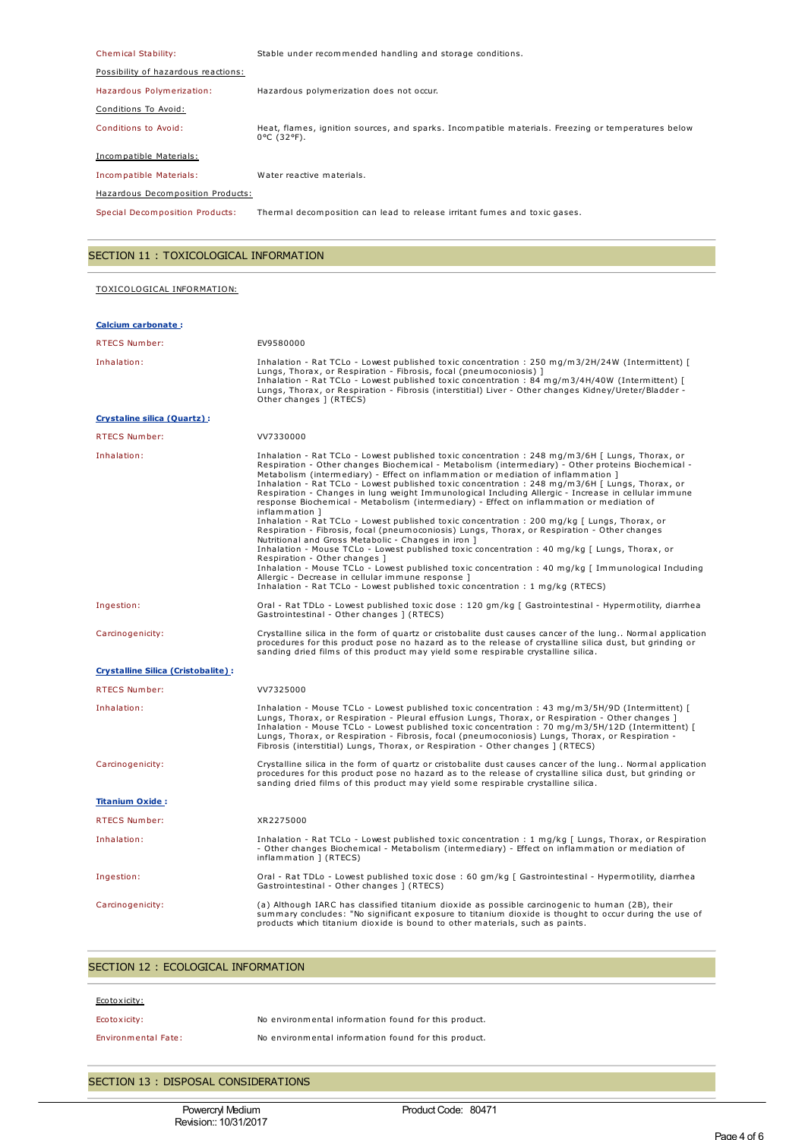| Chemical Stability:                 | Stable under recommended handling and storage conditions.                                                                   |  |  |
|-------------------------------------|-----------------------------------------------------------------------------------------------------------------------------|--|--|
| Possibility of hazardous reactions: |                                                                                                                             |  |  |
| Hazardous Polymerization:           | Hazardous polymerization does not occur.                                                                                    |  |  |
| Conditions To Avoid:                |                                                                                                                             |  |  |
| Conditions to Avoid:                | Heat, flames, ignition sources, and sparks. Incompatible materials. Freezing or temperatures below<br>$0^{\circ}$ C (32°F). |  |  |
| Incompatible Materials:             |                                                                                                                             |  |  |
| Incompatible Materials:             | Water reactive materials.                                                                                                   |  |  |
| Hazardous Decomposition Products:   |                                                                                                                             |  |  |
| Special Decomposition Products:     | Thermal decomposition can lead to release irritant fumes and toxic gases.                                                   |  |  |

# SECTION 11 : TOXICOLOGICAL INFORMATION

## TOXICOLOGICAL INFORMATION:

| <b>Calcium carbonate:</b>                 |                                                                                                                                                                                                                                                                                                                                                                                                                                                                                                                                                                                                                                                                                                                     |  |
|-------------------------------------------|---------------------------------------------------------------------------------------------------------------------------------------------------------------------------------------------------------------------------------------------------------------------------------------------------------------------------------------------------------------------------------------------------------------------------------------------------------------------------------------------------------------------------------------------------------------------------------------------------------------------------------------------------------------------------------------------------------------------|--|
| RTECS Number:                             | EV9580000                                                                                                                                                                                                                                                                                                                                                                                                                                                                                                                                                                                                                                                                                                           |  |
| Inhalation:                               | Inhalation - Rat TCLo - Lowest published toxic concentration : 250 mg/m3/2H/24W (Intermittent) [<br>Lungs, Thorax, or Respiration - Fibrosis, focal (pneumoconiosis) ]<br>Inhalation - Rat TCLo - Lowest published toxic concentration : 84 mg/m3/4H/40W (Intermittent) [<br>Lungs, Thorax, or Respiration - Fibrosis (interstitial) Liver - Other changes Kidney/Ureter/Bladder -<br>Other changes 1 (RTECS)                                                                                                                                                                                                                                                                                                       |  |
| Crystaline silica (Quartz):               |                                                                                                                                                                                                                                                                                                                                                                                                                                                                                                                                                                                                                                                                                                                     |  |
| <b>RTECS Number:</b>                      | VV7330000                                                                                                                                                                                                                                                                                                                                                                                                                                                                                                                                                                                                                                                                                                           |  |
| Inhalation:                               | Inhalation - Rat TCLo - Lowest published toxic concentration : 248 mg/m3/6H [ Lungs, Thorax, or<br>Respiration - Other changes Biochemical - Metabolism (intermediary) - Other proteins Biochemical -<br>Metabolism (intermediary) - Effect on inflammation or mediation of inflammation ]<br>Inhalation - Rat TCLo - Lowest published toxic concentration : 248 mg/m3/6H [ Lungs, Thorax, or<br>Respiration - Changes in lung weight Immunological Including Allergic - Increase in cellular immune<br>response Biochemical - Metabolism (intermediary) - Effect on inflammation or mediation of<br>inflammation 1<br>Inhalation - Rat TCLo - Lowest published toxic concentration : 200 mg/kg [ Lungs, Thorax, or |  |
|                                           | Respiration - Fibrosis, focal (pneumoconiosis) Lungs, Thorax, or Respiration - Other changes<br>Nutritional and Gross Metabolic - Changes in iron 1<br>Inhalation - Mouse TCLo - Lowest published toxic concentration : 40 mg/kg [ Lungs, Thorax, or<br>Respiration - Other changes 1<br>Inhalation - Mouse TCLo - Lowest published toxic concentration : 40 mg/kg [ Immunological Including<br>Allergic - Decrease in cellular immune response ]<br>Inhalation - Rat TCLo - Lowest published toxic concentration : 1 mg/kg (RTECS)                                                                                                                                                                                 |  |
| Ingestion:                                | Oral - Rat TDLo - Lowest published toxic dose: 120 gm/kg [ Gastrointestinal - Hypermotility, diarrhea<br>Gastrointestinal - Other changes ] (RTECS)                                                                                                                                                                                                                                                                                                                                                                                                                                                                                                                                                                 |  |
| Carcinogenicity:                          | Crystalline silica in the form of quartz or cristobalite dust causes cancer of the lung Normal application<br>procedures for this product pose no hazard as to the release of crystalline silica dust, but grinding or<br>sanding dried films of this product may yield some respirable crystalline silica.                                                                                                                                                                                                                                                                                                                                                                                                         |  |
| <b>Crystalline Silica (Cristobalite):</b> |                                                                                                                                                                                                                                                                                                                                                                                                                                                                                                                                                                                                                                                                                                                     |  |
| <b>RTECS Number:</b>                      | VV7325000                                                                                                                                                                                                                                                                                                                                                                                                                                                                                                                                                                                                                                                                                                           |  |
| Inhalation:                               | Inhalation - Mouse TCLo - Lowest published toxic concentration : 43 mg/m3/5H/9D (Intermittent) [<br>Lungs, Thorax, or Respiration - Pleural effusion Lungs, Thorax, or Respiration - Other changes ]<br>Inhalation - Mouse TCLo - Lowest published toxic concentration : 70 mg/m3/5H/12D (Intermittent) [<br>Lungs, Thorax, or Respiration - Fibrosis, focal (pneumoconiosis) Lungs, Thorax, or Respiration -<br>Fibrosis (interstitial) Lungs, Thorax, or Respiration - Other changes ] (RTECS)                                                                                                                                                                                                                    |  |
| Carcinogenicity:                          | Crystalline silica in the form of quartz or cristobalite dust causes cancer of the lung Normal application<br>procedures for this product pose no hazard as to the release of crystalline silica dust, but grinding or<br>sanding dried films of this product may yield some respirable crystalline silica.                                                                                                                                                                                                                                                                                                                                                                                                         |  |
| <b>Titanium Oxide:</b>                    |                                                                                                                                                                                                                                                                                                                                                                                                                                                                                                                                                                                                                                                                                                                     |  |
| <b>RTECS Number:</b>                      | XR2275000                                                                                                                                                                                                                                                                                                                                                                                                                                                                                                                                                                                                                                                                                                           |  |
| Inhalation:                               | Inhalation - Rat TCLo - Lowest published toxic concentration : 1 mg/kg [ Lungs, Thorax, or Respiration<br>- Other changes Biochemical - Metabolism (intermediary) - Effect on inflammation or mediation of<br>inflammation ] (RTECS)                                                                                                                                                                                                                                                                                                                                                                                                                                                                                |  |
| Ingestion:                                | Oral - Rat TDLo - Lowest published toxic dose: 60 gm/kg [ Gastrointestinal - Hypermotility, diarrhea<br>Gastrointestinal - Other changes ] (RTECS)                                                                                                                                                                                                                                                                                                                                                                                                                                                                                                                                                                  |  |
| Carcinogenicity:                          | (a) Although IARC has classified titanium dioxide as possible carcinogenic to human (2B), their<br>summary concludes: "No significant exposure to titanium dioxide is thought to occur during the use of<br>products which titanium dioxide is bound to other materials, such as paints.                                                                                                                                                                                                                                                                                                                                                                                                                            |  |

# SECTION 12 : ECOLOGICAL INFORMATION

| Ecotoxicity:               |                                                      |
|----------------------------|------------------------------------------------------|
| Ecotoxicity:               | No environmental information found for this product. |
| <b>Environmental Fate:</b> | No environmental information found for this product. |

# SECTION 13 : DISPOSAL CONSIDERATIONS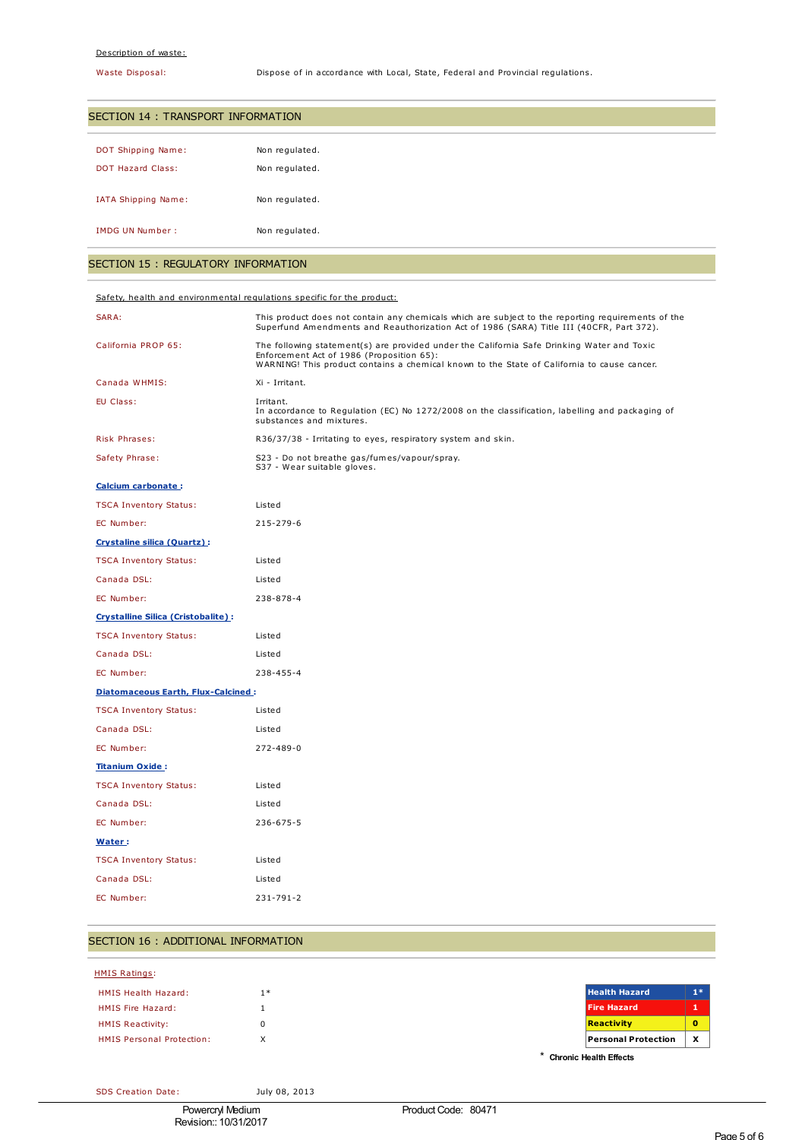### Description of waste:

Waste Disposal: Dispose of in accordance with Local, State, Federal and Provincial regulations.

| SECTION 14 : TRANSPORT INFORMATION |                |  |  |  |
|------------------------------------|----------------|--|--|--|
| <b>DOT Shipping Name:</b>          | Non regulated. |  |  |  |
| <b>DOT Hazard Class:</b>           | Non regulated. |  |  |  |
| IATA Shipping Name:                | Non regulated. |  |  |  |
| IMDG UN Number:                    | Non regulated. |  |  |  |

# SECTION 15 : REGULATORY INFORMATION

| Safety, health and environmental regulations specific for the product: |                                                                                                                                                                                                                                        |  |  |  |
|------------------------------------------------------------------------|----------------------------------------------------------------------------------------------------------------------------------------------------------------------------------------------------------------------------------------|--|--|--|
| SARA:                                                                  | This product does not contain any chemicals which are subject to the reporting requirements of the<br>Superfund Amendments and Reauthorization Act of 1986 (SARA) Title III (40CFR, Part 372).                                         |  |  |  |
| California PROP 65:                                                    | The following statement(s) are provided under the California Safe Drinking Water and Toxic<br>Enforcement Act of 1986 (Proposition 65):<br>WARNING! This product contains a chemical known to the State of California to cause cancer. |  |  |  |
| Canada WHMIS:                                                          | Xi - Irritant.                                                                                                                                                                                                                         |  |  |  |
| EU Class:                                                              | Irritant.<br>In accordance to Regulation (EC) No 1272/2008 on the classification, labelling and packaging of<br>substances and mixtures.                                                                                               |  |  |  |
| Risk Phrases:                                                          | R36/37/38 - Irritating to eyes, respiratory system and skin.                                                                                                                                                                           |  |  |  |
| Safety Phrase:                                                         | S23 - Do not breathe gas/fumes/vapour/spray.<br>S37 - Wear suitable gloves.                                                                                                                                                            |  |  |  |
| Calcium carbonate:                                                     |                                                                                                                                                                                                                                        |  |  |  |
| <b>TSCA Inventory Status:</b>                                          | Listed                                                                                                                                                                                                                                 |  |  |  |
| EC Number:                                                             | 215-279-6                                                                                                                                                                                                                              |  |  |  |
| Crystaline silica (Quartz):                                            |                                                                                                                                                                                                                                        |  |  |  |
| <b>TSCA Inventory Status:</b>                                          | Listed                                                                                                                                                                                                                                 |  |  |  |
| Canada DSL:                                                            | Listed                                                                                                                                                                                                                                 |  |  |  |
| EC Number:                                                             | 238-878-4                                                                                                                                                                                                                              |  |  |  |
| <b>Crystalline Silica (Cristobalite):</b>                              |                                                                                                                                                                                                                                        |  |  |  |
| <b>TSCA Inventory Status:</b>                                          | Listed                                                                                                                                                                                                                                 |  |  |  |
| Canada DSL:                                                            | Listed                                                                                                                                                                                                                                 |  |  |  |
| EC Number:                                                             | 238-455-4                                                                                                                                                                                                                              |  |  |  |
| <b>Diatomaceous Earth, Flux-Calcined:</b>                              |                                                                                                                                                                                                                                        |  |  |  |
| <b>TSCA Inventory Status:</b>                                          | Listed                                                                                                                                                                                                                                 |  |  |  |
| Canada DSL:                                                            | Listed                                                                                                                                                                                                                                 |  |  |  |
| EC Number:                                                             | 272-489-0                                                                                                                                                                                                                              |  |  |  |
| <b>Titanium Oxide:</b>                                                 |                                                                                                                                                                                                                                        |  |  |  |
| <b>TSCA Inventory Status:</b>                                          | Listed                                                                                                                                                                                                                                 |  |  |  |
| Canada DSL:                                                            | Listed                                                                                                                                                                                                                                 |  |  |  |
| EC Number:                                                             | 236-675-5                                                                                                                                                                                                                              |  |  |  |
| Water:                                                                 |                                                                                                                                                                                                                                        |  |  |  |
| <b>TSCA Inventory Status:</b>                                          | Listed                                                                                                                                                                                                                                 |  |  |  |
| Canada DSL:                                                            | Listed                                                                                                                                                                                                                                 |  |  |  |
| EC Number:                                                             | 231-791-2                                                                                                                                                                                                                              |  |  |  |
|                                                                        |                                                                                                                                                                                                                                        |  |  |  |

# SECTION 16 : ADDITIONAL INFORMATION

| <b>HMIS Ratings:</b>             |      |                               |          |
|----------------------------------|------|-------------------------------|----------|
| <b>HMIS Health Hazard:</b>       | $1*$ | <b>Health Hazard</b>          | $1*$     |
| HMIS Fire Hazard:                |      | <b>Fire Hazard</b>            |          |
| <b>HMIS Reactivity:</b>          |      | <b>Reactivity</b>             | $\bf{0}$ |
| <b>HMIS Personal Protection:</b> | X    | <b>Personal Protection</b>    | X        |
|                                  |      | <b>Chronic Health Effects</b> |          |

SDS Creation Date: July 08, 2013